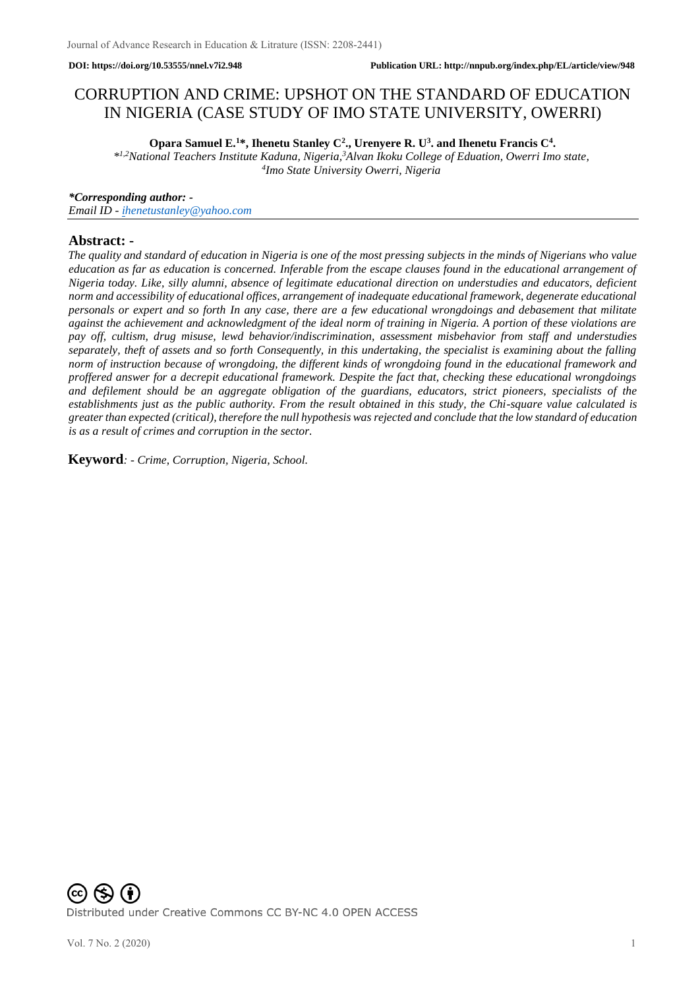# CORRUPTION AND CRIME: UPSHOT ON THE STANDARD OF EDUCATION IN NIGERIA (CASE STUDY OF IMO STATE UNIVERSITY, OWERRI)

**Opara Samuel E.<sup>1</sup>\*, Ihenetu Stanley C<sup>2</sup> ., Urenyere R. U<sup>3</sup> . and Ihenetu Francis C<sup>4</sup> .**

*\* 1,2National Teachers Institute Kaduna, Nigeria,<sup>3</sup>Alvan Ikoku College of Eduation, Owerri Imo state, 4 Imo State University Owerri, Nigeria*

*\*Corresponding author: -*

*Email ID - [ihenetustanley@yahoo.com](mailto:ihenetustanley@yahoo.com)*

## **Abstract: -**

*The quality and standard of education in Nigeria is one of the most pressing subjects in the minds of Nigerians who value education as far as education is concerned. Inferable from the escape clauses found in the educational arrangement of Nigeria today. Like, silly alumni, absence of legitimate educational direction on understudies and educators, deficient norm and accessibility of educational offices, arrangement of inadequate educational framework, degenerate educational personals or expert and so forth In any case, there are a few educational wrongdoings and debasement that militate against the achievement and acknowledgment of the ideal norm of training in Nigeria. A portion of these violations are pay off, cultism, drug misuse, lewd behavior/indiscrimination, assessment misbehavior from staff and understudies separately, theft of assets and so forth Consequently, in this undertaking, the specialist is examining about the falling norm of instruction because of wrongdoing, the different kinds of wrongdoing found in the educational framework and proffered answer for a decrepit educational framework. Despite the fact that, checking these educational wrongdoings and defilement should be an aggregate obligation of the guardians, educators, strict pioneers, specialists of the establishments just as the public authority. From the result obtained in this study, the Chi-square value calculated is greater than expected (critical), therefore the null hypothesis was rejected and conclude that the low standard of education is as a result of crimes and corruption in the sector.*

**Keyword***: - Crime, Corruption, Nigeria, School.*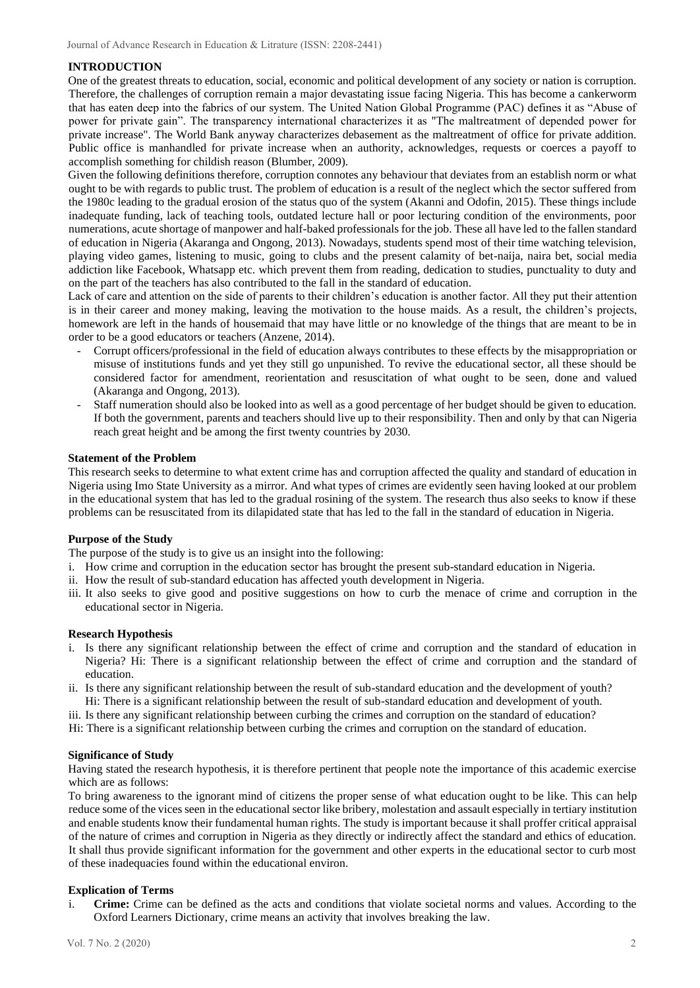## **INTRODUCTION**

One of the greatest threats to education, social, economic and political development of any society or nation is corruption. Therefore, the challenges of corruption remain a major devastating issue facing Nigeria. This has become a cankerworm that has eaten deep into the fabrics of our system. The United Nation Global Programme (PAC) defines it as "Abuse of power for private gain". The transparency international characterizes it as "The maltreatment of depended power for private increase". The World Bank anyway characterizes debasement as the maltreatment of office for private addition. Public office is manhandled for private increase when an authority, acknowledges, requests or coerces a payoff to accomplish something for childish reason (Blumber, 2009).

Given the following definitions therefore, corruption connotes any behaviour that deviates from an establish norm or what ought to be with regards to public trust. The problem of education is a result of the neglect which the sector suffered from the 1980c leading to the gradual erosion of the status quo of the system (Akanni and Odofin, 2015). These things include inadequate funding, lack of teaching tools, outdated lecture hall or poor lecturing condition of the environments, poor numerations, acute shortage of manpower and half-baked professionals for the job. These all have led to the fallen standard of education in Nigeria (Akaranga and Ongong, 2013). Nowadays, students spend most of their time watching television, playing video games, listening to music, going to clubs and the present calamity of bet-naija, naira bet, social media addiction like Facebook, Whatsapp etc. which prevent them from reading, dedication to studies, punctuality to duty and on the part of the teachers has also contributed to the fall in the standard of education.

Lack of care and attention on the side of parents to their children's education is another factor. All they put their attention is in their career and money making, leaving the motivation to the house maids. As a result, the children's projects, homework are left in the hands of housemaid that may have little or no knowledge of the things that are meant to be in order to be a good educators or teachers (Anzene, 2014).

- Corrupt officers/professional in the field of education always contributes to these effects by the misappropriation or misuse of institutions funds and yet they still go unpunished. To revive the educational sector, all these should be considered factor for amendment, reorientation and resuscitation of what ought to be seen, done and valued (Akaranga and Ongong, 2013).
- Staff numeration should also be looked into as well as a good percentage of her budget should be given to education. If both the government, parents and teachers should live up to their responsibility. Then and only by that can Nigeria reach great height and be among the first twenty countries by 2030.

### **Statement of the Problem**

This research seeks to determine to what extent crime has and corruption affected the quality and standard of education in Nigeria using Imo State University as a mirror. And what types of crimes are evidently seen having looked at our problem in the educational system that has led to the gradual rosining of the system. The research thus also seeks to know if these problems can be resuscitated from its dilapidated state that has led to the fall in the standard of education in Nigeria.

## **Purpose of the Study**

The purpose of the study is to give us an insight into the following:

- i. How crime and corruption in the education sector has brought the present sub-standard education in Nigeria.
- ii. How the result of sub-standard education has affected youth development in Nigeria.
- iii. It also seeks to give good and positive suggestions on how to curb the menace of crime and corruption in the educational sector in Nigeria.

#### **Research Hypothesis**

- i. Is there any significant relationship between the effect of crime and corruption and the standard of education in Nigeria? Hi: There is a significant relationship between the effect of crime and corruption and the standard of education.
- ii. Is there any significant relationship between the result of sub-standard education and the development of youth? Hi: There is a significant relationship between the result of sub-standard education and development of youth.
- iii. Is there any significant relationship between curbing the crimes and corruption on the standard of education?
- Hi: There is a significant relationship between curbing the crimes and corruption on the standard of education.

## **Significance of Study**

Having stated the research hypothesis, it is therefore pertinent that people note the importance of this academic exercise which are as follows:

To bring awareness to the ignorant mind of citizens the proper sense of what education ought to be like. This can help reduce some of the vices seen in the educational sector like bribery, molestation and assault especially in tertiary institution and enable students know their fundamental human rights. The study is important because it shall proffer critical appraisal of the nature of crimes and corruption in Nigeria as they directly or indirectly affect the standard and ethics of education. It shall thus provide significant information for the government and other experts in the educational sector to curb most of these inadequacies found within the educational environ.

## **Explication of Terms**

i. **Crime:** Crime can be defined as the acts and conditions that violate societal norms and values. According to the Oxford Learners Dictionary, crime means an activity that involves breaking the law.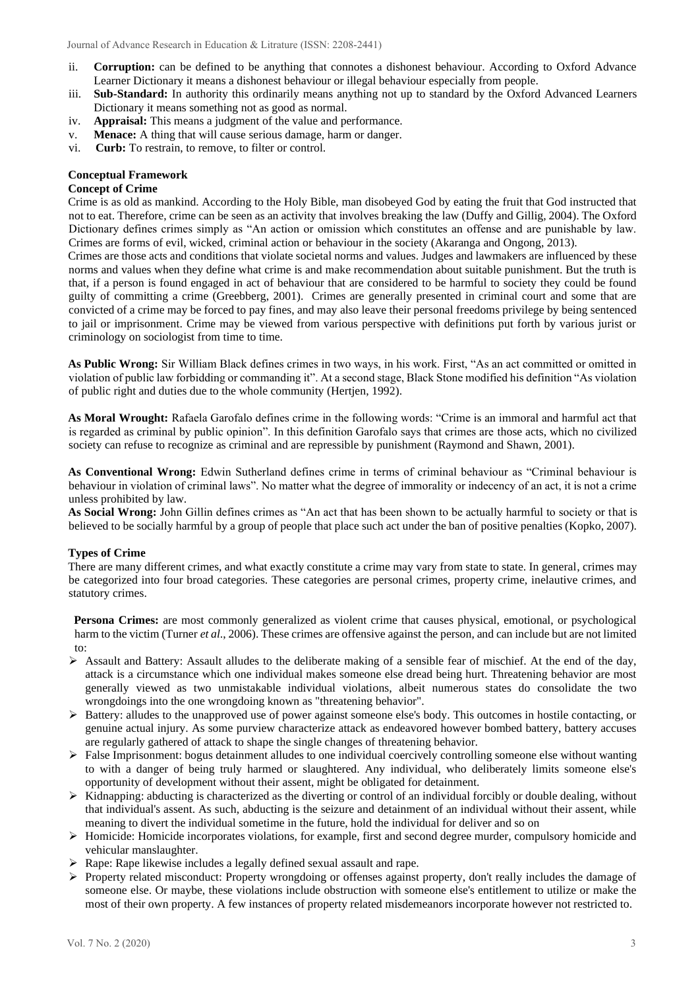- ii. **Corruption:** can be defined to be anything that connotes a dishonest behaviour. According to Oxford Advance Learner Dictionary it means a dishonest behaviour or illegal behaviour especially from people.
- iii. **Sub-Standard:** In authority this ordinarily means anything not up to standard by the Oxford Advanced Learners Dictionary it means something not as good as normal.
- iv. **Appraisal:** This means a judgment of the value and performance.
- v. **Menace:** A thing that will cause serious damage, harm or danger.
- vi. **Curb:** To restrain, to remove, to filter or control.

## **Conceptual Framework**

## **Concept of Crime**

Crime is as old as mankind. According to the Holy Bible, man disobeyed God by eating the fruit that God instructed that not to eat. Therefore, crime can be seen as an activity that involves breaking the law (Duffy and Gillig, 2004). The Oxford Dictionary defines crimes simply as "An action or omission which constitutes an offense and are punishable by law. Crimes are forms of evil, wicked, criminal action or behaviour in the society (Akaranga and Ongong, 2013).

Crimes are those acts and conditions that violate societal norms and values. Judges and lawmakers are influenced by these norms and values when they define what crime is and make recommendation about suitable punishment. But the truth is that, if a person is found engaged in act of behaviour that are considered to be harmful to society they could be found guilty of committing a crime (Greebberg, 2001). Crimes are generally presented in criminal court and some that are convicted of a crime may be forced to pay fines, and may also leave their personal freedoms privilege by being sentenced to jail or imprisonment. Crime may be viewed from various perspective with definitions put forth by various jurist or criminology on sociologist from time to time.

**As Public Wrong:** Sir William Black defines crimes in two ways, in his work. First, "As an act committed or omitted in violation of public law forbidding or commanding it". At a second stage, Black Stone modified his definition "As violation of public right and duties due to the whole community (Hertjen, 1992).

**As Moral Wrought:** Rafaela Garofalo defines crime in the following words: "Crime is an immoral and harmful act that is regarded as criminal by public opinion". In this definition Garofalo says that crimes are those acts, which no civilized society can refuse to recognize as criminal and are repressible by punishment (Raymond and Shawn, 2001).

**As Conventional Wrong:** Edwin Sutherland defines crime in terms of criminal behaviour as "Criminal behaviour is behaviour in violation of criminal laws". No matter what the degree of immorality or indecency of an act, it is not a crime unless prohibited by law.

**As Social Wrong:** John Gillin defines crimes as "An act that has been shown to be actually harmful to society or that is believed to be socially harmful by a group of people that place such act under the ban of positive penalties (Kopko, 2007).

## **Types of Crime**

There are many different crimes, and what exactly constitute a crime may vary from state to state. In general, crimes may be categorized into four broad categories. These categories are personal crimes, property crime, inelautive crimes, and statutory crimes.

**Persona Crimes:** are most commonly generalized as violent crime that causes physical, emotional, or psychological harm to the victim (Turner *et al*., 2006). These crimes are offensive against the person, and can include but are not limited to:

- $\triangleright$  Assault and Battery: Assault alludes to the deliberate making of a sensible fear of mischief. At the end of the day, attack is a circumstance which one individual makes someone else dread being hurt. Threatening behavior are most generally viewed as two unmistakable individual violations, albeit numerous states do consolidate the two wrongdoings into the one wrongdoing known as "threatening behavior".
- $\triangleright$  Battery: alludes to the unapproved use of power against someone else's body. This outcomes in hostile contacting, or genuine actual injury. As some purview characterize attack as endeavored however bombed battery, battery accuses are regularly gathered of attack to shape the single changes of threatening behavior.
- ➢ False Imprisonment: bogus detainment alludes to one individual coercively controlling someone else without wanting to with a danger of being truly harmed or slaughtered. Any individual, who deliberately limits someone else's opportunity of development without their assent, might be obligated for detainment.
- ➢ Kidnapping: abducting is characterized as the diverting or control of an individual forcibly or double dealing, without that individual's assent. As such, abducting is the seizure and detainment of an individual without their assent, while meaning to divert the individual sometime in the future, hold the individual for deliver and so on
- ➢ Homicide: Homicide incorporates violations, for example, first and second degree murder, compulsory homicide and vehicular manslaughter.
- ➢ Rape: Rape likewise includes a legally defined sexual assault and rape.
- ➢ Property related misconduct: Property wrongdoing or offenses against property, don't really includes the damage of someone else. Or maybe, these violations include obstruction with someone else's entitlement to utilize or make the most of their own property. A few instances of property related misdemeanors incorporate however not restricted to.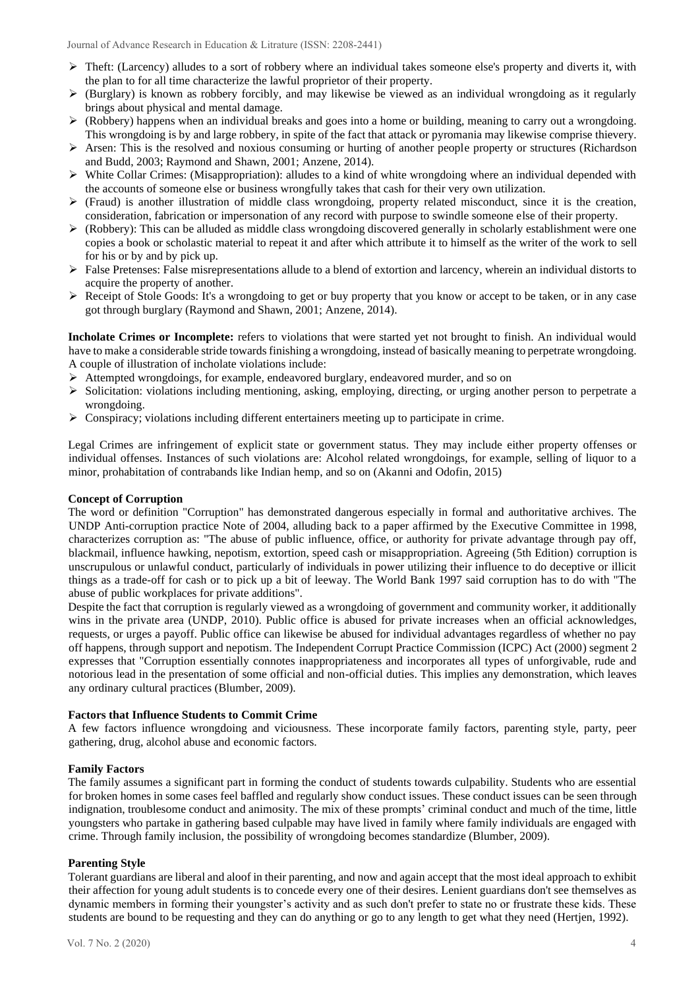- $\triangleright$  Theft: (Larcency) alludes to a sort of robbery where an individual takes someone else's property and diverts it, with the plan to for all time characterize the lawful proprietor of their property.
- $\triangleright$  (Burglary) is known as robbery forcibly, and may likewise be viewed as an individual wrongdoing as it regularly brings about physical and mental damage.
- $\triangleright$  (Robbery) happens when an individual breaks and goes into a home or building, meaning to carry out a wrongdoing. This wrongdoing is by and large robbery, in spite of the fact that attack or pyromania may likewise comprise thievery.
- ➢ Arsen: This is the resolved and noxious consuming or hurting of another people property or structures (Richardson and Budd, 2003; Raymond and Shawn, 2001; Anzene, 2014).
- $\triangleright$  White Collar Crimes: (Misappropriation): alludes to a kind of white wrongdoing where an individual depended with the accounts of someone else or business wrongfully takes that cash for their very own utilization.
- ➢ (Fraud) is another illustration of middle class wrongdoing, property related misconduct, since it is the creation, consideration, fabrication or impersonation of any record with purpose to swindle someone else of their property.
- ➢ (Robbery): This can be alluded as middle class wrongdoing discovered generally in scholarly establishment were one copies a book or scholastic material to repeat it and after which attribute it to himself as the writer of the work to sell for his or by and by pick up.
- $\triangleright$  False Pretenses: False misrepresentations allude to a blend of extortion and larcency, wherein an individual distorts to acquire the property of another.
- $\triangleright$  Receipt of Stole Goods: It's a wrongdoing to get or buy property that you know or accept to be taken, or in any case got through burglary (Raymond and Shawn, 2001; Anzene, 2014).

**Incholate Crimes or Incomplete:** refers to violations that were started yet not brought to finish. An individual would have to make a considerable stride towards finishing a wrongdoing, instead of basically meaning to perpetrate wrongdoing. A couple of illustration of incholate violations include:

- ➢ Attempted wrongdoings, for example, endeavored burglary, endeavored murder, and so on
- ➢ Solicitation: violations including mentioning, asking, employing, directing, or urging another person to perpetrate a wrongdoing.
- $\triangleright$  Conspiracy; violations including different entertainers meeting up to participate in crime.

Legal Crimes are infringement of explicit state or government status. They may include either property offenses or individual offenses. Instances of such violations are: Alcohol related wrongdoings, for example, selling of liquor to a minor, prohabitation of contrabands like Indian hemp, and so on (Akanni and Odofin, 2015)

#### **Concept of Corruption**

The word or definition "Corruption" has demonstrated dangerous especially in formal and authoritative archives. The UNDP Anti-corruption practice Note of 2004, alluding back to a paper affirmed by the Executive Committee in 1998, characterizes corruption as: "The abuse of public influence, office, or authority for private advantage through pay off, blackmail, influence hawking, nepotism, extortion, speed cash or misappropriation. Agreeing (5th Edition) corruption is unscrupulous or unlawful conduct, particularly of individuals in power utilizing their influence to do deceptive or illicit things as a trade-off for cash or to pick up a bit of leeway. The World Bank 1997 said corruption has to do with "The abuse of public workplaces for private additions".

Despite the fact that corruption is regularly viewed as a wrongdoing of government and community worker, it additionally wins in the private area (UNDP, 2010). Public office is abused for private increases when an official acknowledges, requests, or urges a payoff. Public office can likewise be abused for individual advantages regardless of whether no pay off happens, through support and nepotism. The Independent Corrupt Practice Commission (ICPC) Act (2000) segment 2 expresses that "Corruption essentially connotes inappropriateness and incorporates all types of unforgivable, rude and notorious lead in the presentation of some official and non-official duties. This implies any demonstration, which leaves any ordinary cultural practices (Blumber, 2009).

## **Factors that Influence Students to Commit Crime**

A few factors influence wrongdoing and viciousness. These incorporate family factors, parenting style, party, peer gathering, drug, alcohol abuse and economic factors.

## **Family Factors**

The family assumes a significant part in forming the conduct of students towards culpability. Students who are essential for broken homes in some cases feel baffled and regularly show conduct issues. These conduct issues can be seen through indignation, troublesome conduct and animosity. The mix of these prompts' criminal conduct and much of the time, little youngsters who partake in gathering based culpable may have lived in family where family individuals are engaged with crime. Through family inclusion, the possibility of wrongdoing becomes standardize (Blumber, 2009).

## **Parenting Style**

Tolerant guardians are liberal and aloof in their parenting, and now and again accept that the most ideal approach to exhibit their affection for young adult students is to concede every one of their desires. Lenient guardians don't see themselves as dynamic members in forming their youngster's activity and as such don't prefer to state no or frustrate these kids. These students are bound to be requesting and they can do anything or go to any length to get what they need (Hertjen, 1992).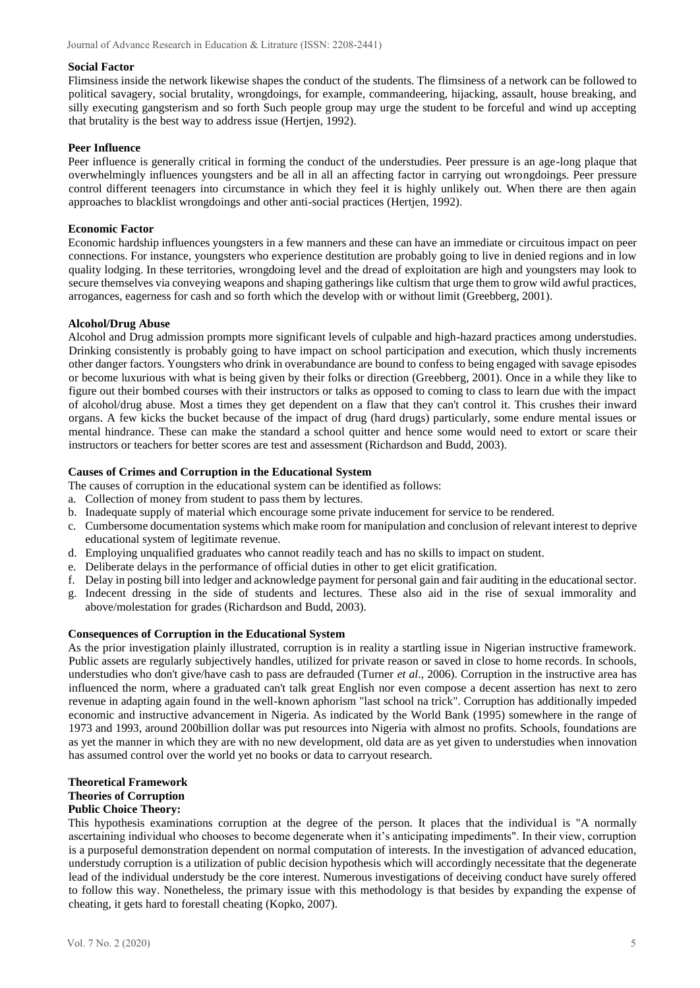#### **Social Factor**

Flimsiness inside the network likewise shapes the conduct of the students. The flimsiness of a network can be followed to political savagery, social brutality, wrongdoings, for example, commandeering, hijacking, assault, house breaking, and silly executing gangsterism and so forth Such people group may urge the student to be forceful and wind up accepting that brutality is the best way to address issue (Hertjen, 1992).

## **Peer Influence**

Peer influence is generally critical in forming the conduct of the understudies. Peer pressure is an age-long plaque that overwhelmingly influences youngsters and be all in all an affecting factor in carrying out wrongdoings. Peer pressure control different teenagers into circumstance in which they feel it is highly unlikely out. When there are then again approaches to blacklist wrongdoings and other anti-social practices (Hertjen, 1992).

### **Economic Factor**

Economic hardship influences youngsters in a few manners and these can have an immediate or circuitous impact on peer connections. For instance, youngsters who experience destitution are probably going to live in denied regions and in low quality lodging. In these territories, wrongdoing level and the dread of exploitation are high and youngsters may look to secure themselves via conveying weapons and shaping gatherings like cultism that urge them to grow wild awful practices, arrogances, eagerness for cash and so forth which the develop with or without limit (Greebberg, 2001).

### **Alcohol/Drug Abuse**

Alcohol and Drug admission prompts more significant levels of culpable and high-hazard practices among understudies. Drinking consistently is probably going to have impact on school participation and execution, which thusly increments other danger factors. Youngsters who drink in overabundance are bound to confess to being engaged with savage episodes or become luxurious with what is being given by their folks or direction (Greebberg, 2001). Once in a while they like to figure out their bombed courses with their instructors or talks as opposed to coming to class to learn due with the impact of alcohol/drug abuse. Most a times they get dependent on a flaw that they can't control it. This crushes their inward organs. A few kicks the bucket because of the impact of drug (hard drugs) particularly, some endure mental issues or mental hindrance. These can make the standard a school quitter and hence some would need to extort or scare their instructors or teachers for better scores are test and assessment (Richardson and Budd, 2003).

### **Causes of Crimes and Corruption in the Educational System**

The causes of corruption in the educational system can be identified as follows:

- a. Collection of money from student to pass them by lectures.
- b. Inadequate supply of material which encourage some private inducement for service to be rendered.
- c. Cumbersome documentation systems which make room for manipulation and conclusion of relevant interest to deprive educational system of legitimate revenue.
- d. Employing unqualified graduates who cannot readily teach and has no skills to impact on student.
- e. Deliberate delays in the performance of official duties in other to get elicit gratification.
- f. Delay in posting bill into ledger and acknowledge payment for personal gain and fair auditing in the educational sector.
- g. Indecent dressing in the side of students and lectures. These also aid in the rise of sexual immorality and above/molestation for grades (Richardson and Budd, 2003).

#### **Consequences of Corruption in the Educational System**

As the prior investigation plainly illustrated, corruption is in reality a startling issue in Nigerian instructive framework. Public assets are regularly subjectively handles, utilized for private reason or saved in close to home records. In schools, understudies who don't give/have cash to pass are defrauded (Turner *et al*., 2006). Corruption in the instructive area has influenced the norm, where a graduated can't talk great English nor even compose a decent assertion has next to zero revenue in adapting again found in the well-known aphorism "last school na trick". Corruption has additionally impeded economic and instructive advancement in Nigeria. As indicated by the World Bank (1995) somewhere in the range of 1973 and 1993, around 200billion dollar was put resources into Nigeria with almost no profits. Schools, foundations are as yet the manner in which they are with no new development, old data are as yet given to understudies when innovation has assumed control over the world yet no books or data to carryout research.

## **Theoretical Framework Theories of Corruption**

## **Public Choice Theory:**

This hypothesis examinations corruption at the degree of the person. It places that the individual is "A normally ascertaining individual who chooses to become degenerate when it's anticipating impediments". In their view, corruption is a purposeful demonstration dependent on normal computation of interests. In the investigation of advanced education, understudy corruption is a utilization of public decision hypothesis which will accordingly necessitate that the degenerate lead of the individual understudy be the core interest. Numerous investigations of deceiving conduct have surely offered to follow this way. Nonetheless, the primary issue with this methodology is that besides by expanding the expense of cheating, it gets hard to forestall cheating (Kopko, 2007).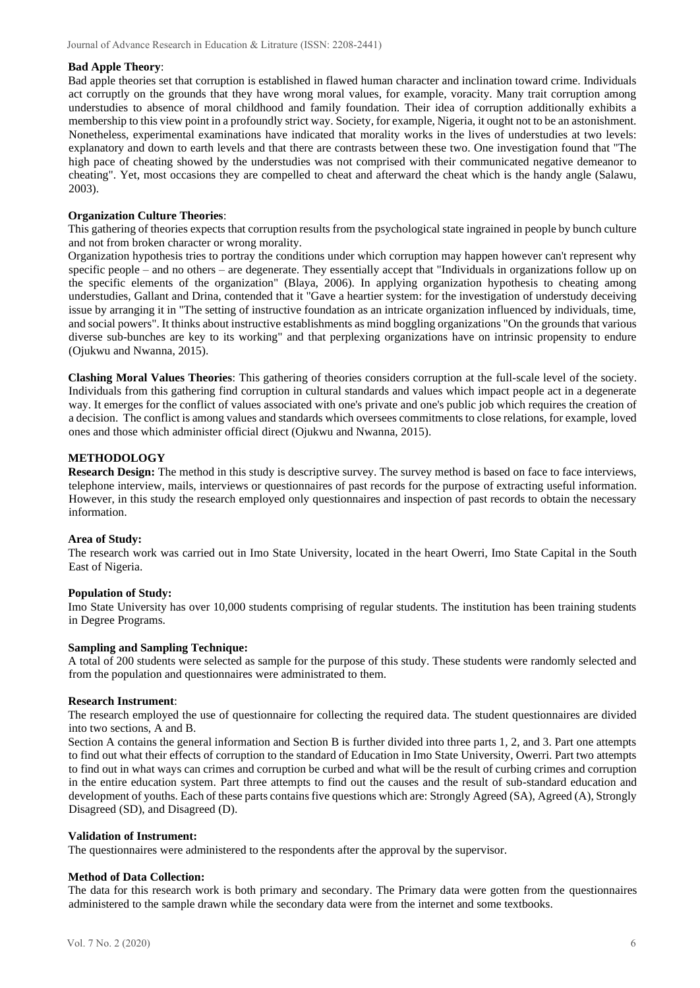## **Bad Apple Theory**:

Bad apple theories set that corruption is established in flawed human character and inclination toward crime. Individuals act corruptly on the grounds that they have wrong moral values, for example, voracity. Many trait corruption among understudies to absence of moral childhood and family foundation. Their idea of corruption additionally exhibits a membership to this view point in a profoundly strict way. Society, for example, Nigeria, it ought not to be an astonishment. Nonetheless, experimental examinations have indicated that morality works in the lives of understudies at two levels: explanatory and down to earth levels and that there are contrasts between these two. One investigation found that "The high pace of cheating showed by the understudies was not comprised with their communicated negative demeanor to cheating". Yet, most occasions they are compelled to cheat and afterward the cheat which is the handy angle (Salawu, 2003).

## **Organization Culture Theories**:

This gathering of theories expects that corruption results from the psychological state ingrained in people by bunch culture and not from broken character or wrong morality.

Organization hypothesis tries to portray the conditions under which corruption may happen however can't represent why specific people – and no others – are degenerate. They essentially accept that "Individuals in organizations follow up on the specific elements of the organization" (Blaya, 2006). In applying organization hypothesis to cheating among understudies, Gallant and Drina, contended that it "Gave a heartier system: for the investigation of understudy deceiving issue by arranging it in "The setting of instructive foundation as an intricate organization influenced by individuals, time, and social powers". It thinks about instructive establishments as mind boggling organizations "On the grounds that various diverse sub-bunches are key to its working" and that perplexing organizations have on intrinsic propensity to endure (Ojukwu and Nwanna, 2015).

**Clashing Moral Values Theories**: This gathering of theories considers corruption at the full-scale level of the society. Individuals from this gathering find corruption in cultural standards and values which impact people act in a degenerate way. It emerges for the conflict of values associated with one's private and one's public job which requires the creation of a decision. The conflict is among values and standards which oversees commitments to close relations, for example, loved ones and those which administer official direct (Ojukwu and Nwanna, 2015).

## **METHODOLOGY**

**Research Design:** The method in this study is descriptive survey. The survey method is based on face to face interviews, telephone interview, mails, interviews or questionnaires of past records for the purpose of extracting useful information. However, in this study the research employed only questionnaires and inspection of past records to obtain the necessary information.

#### **Area of Study:**

The research work was carried out in Imo State University, located in the heart Owerri, Imo State Capital in the South East of Nigeria.

#### **Population of Study:**

Imo State University has over 10,000 students comprising of regular students. The institution has been training students in Degree Programs.

#### **Sampling and Sampling Technique:**

A total of 200 students were selected as sample for the purpose of this study. These students were randomly selected and from the population and questionnaires were administrated to them.

#### **Research Instrument**:

The research employed the use of questionnaire for collecting the required data. The student questionnaires are divided into two sections, A and B.

Section A contains the general information and Section B is further divided into three parts 1, 2, and 3. Part one attempts to find out what their effects of corruption to the standard of Education in Imo State University, Owerri. Part two attempts to find out in what ways can crimes and corruption be curbed and what will be the result of curbing crimes and corruption in the entire education system. Part three attempts to find out the causes and the result of sub-standard education and development of youths. Each of these parts contains five questions which are: Strongly Agreed (SA), Agreed (A), Strongly Disagreed (SD), and Disagreed (D).

#### **Validation of Instrument:**

The questionnaires were administered to the respondents after the approval by the supervisor.

## **Method of Data Collection:**

The data for this research work is both primary and secondary. The Primary data were gotten from the questionnaires administered to the sample drawn while the secondary data were from the internet and some textbooks.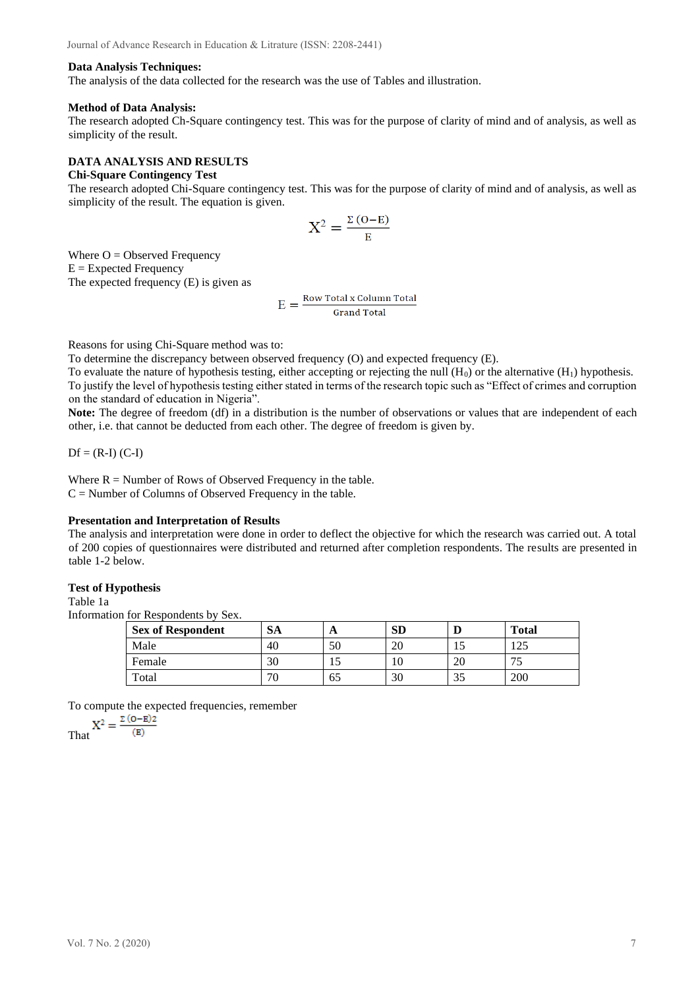#### **Data Analysis Techniques:**

The analysis of the data collected for the research was the use of Tables and illustration.

#### **Method of Data Analysis:**

The research adopted Ch-Square contingency test. This was for the purpose of clarity of mind and of analysis, as well as simplicity of the result.

#### **DATA ANALYSIS AND RESULTS Chi-Square Contingency Test**

The research adopted Chi-Square contingency test. This was for the purpose of clarity of mind and of analysis, as well as simplicity of the result. The equation is given.

$$
X^2 = \frac{\Sigma (O - E)}{E}
$$

Where  $O = Observed Frequency$  $E =$  Expected Frequency The expected frequency (E) is given as

$$
E = \frac{\text{Row Total x Column Total}}{\text{Grand Total}}
$$

Reasons for using Chi-Square method was to:

To determine the discrepancy between observed frequency (O) and expected frequency (E).

To evaluate the nature of hypothesis testing, either accepting or rejecting the null  $(H_0)$  or the alternative  $(H_1)$  hypothesis. To justify the level of hypothesis testing either stated in terms of the research topic such as "Effect of crimes and corruption on the standard of education in Nigeria".

**Note:** The degree of freedom (df) in a distribution is the number of observations or values that are independent of each other, i.e. that cannot be deducted from each other. The degree of freedom is given by.

 $Df = (R-I) (C-I)$ 

Where  $R =$  Number of Rows of Observed Frequency in the table.  $C =$  Number of Columns of Observed Frequency in the table.

#### **Presentation and Interpretation of Results**

The analysis and interpretation were done in order to deflect the objective for which the research was carried out. A total of 200 copies of questionnaires were distributed and returned after completion respondents. The results are presented in table 1-2 below.

## **Test of Hypothesis**

Table 1a

Information for Respondents by Sex.

| <b>Sex of Respondent</b> | <b>SA</b> | A  | <b>SD</b> |              | <b>Total</b>    |
|--------------------------|-----------|----|-----------|--------------|-----------------|
| Male                     | 40        | 50 | or<br>ΖU  | $\mathbf{I}$ | $\Delta$<br>⊥∠… |
| Female                   | 30        | IJ | 1Ψ        | 20           | ت               |
| Total                    | 70        | 65 | 30        | 35           | 200             |

To compute the expected frequencies, remember

$$
X^2=\frac{\Sigma\left(o-\textbf{E}\right)2}{\left(\textbf{E}\right)}
$$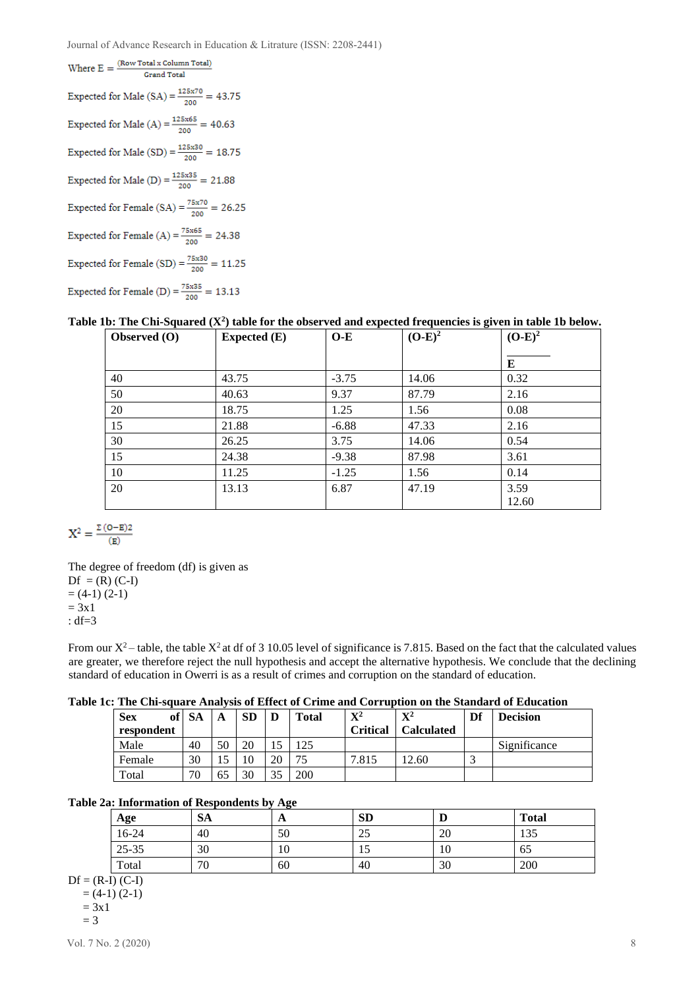Journal of Advance Research in Education & Litrature (ISSN: 2208-2441)

Where  $E = \frac{(Row Total x Column Total)}{Grand Total}$ **Grand Total** Expected for Male (SA) =  $\frac{125x70}{200}$  = 43.75 Expected for Male (A) =  $\frac{125 \times 65}{200}$  = 40.63 Expected for Male (SD) =  $\frac{125x30}{200}$  = 18.75 Expected for Male (D) =  $\frac{125 \times 35}{200}$  = 21.88 Expected for Female (SA) =  $\frac{75x70}{200}$  = 26.25 Expected for Female (A) =  $\frac{75x65}{200}$  = 24.38 Expected for Female (SD) =  $\frac{75 \times 30}{200}$  = 11.25 Expected for Female (D) =  $\frac{75 \times 35}{200}$  = 13.13

|  |  | Table 1b: The Chi-Squared $(X^2)$ table for the observed and expected frequencies is given in table 1b below. |  |
|--|--|---------------------------------------------------------------------------------------------------------------|--|
|--|--|---------------------------------------------------------------------------------------------------------------|--|

| Observed (O) | <b>Expected</b> (E) | $O-E$   | $(O-E)^2$ | $(O-E)^2$     |
|--------------|---------------------|---------|-----------|---------------|
|              |                     |         |           | E             |
| 40           | 43.75               | $-3.75$ | 14.06     | 0.32          |
| 50           | 40.63               | 9.37    | 87.79     | 2.16          |
| 20           | 18.75               | 1.25    | 1.56      | 0.08          |
| 15           | 21.88               | $-6.88$ | 47.33     | 2.16          |
| 30           | 26.25               | 3.75    | 14.06     | 0.54          |
| 15           | 24.38               | $-9.38$ | 87.98     | 3.61          |
| 10           | 11.25               | $-1.25$ | 1.56      | 0.14          |
| 20           | 13.13               | 6.87    | 47.19     | 3.59<br>12.60 |

 $\mathbf{X}^2 = \frac{\Sigma \left( \mathbf{O} - \mathbf{E} \right) 2}{\left( \mathbf{E} \right)}$ 

The degree of freedom (df) is given as  $Df = (R) (C-I)$  $=$  (4-1) (2-1)  $= 3x1$ : df=3

From our  $X^2$  – table, the table  $X^2$  at df of 3 10.05 level of significance is 7.815. Based on the fact that the calculated values are greater, we therefore reject the null hypothesis and accept the alternative hypothesis. We conclude that the declining standard of education in Owerri is as a result of crimes and corruption on the standard of education.

|  |  |  |  |  |  |  | Table 1c: The Chi-square Analysis of Effect of Crime and Corruption on the Standard of Education |
|--|--|--|--|--|--|--|--------------------------------------------------------------------------------------------------|
|--|--|--|--|--|--|--|--------------------------------------------------------------------------------------------------|

| <b>Sex</b><br>of <sup>1</sup> | <b>SA</b> | A     | <b>SD</b> | D  | Total | $\mathbf{X}^2$ | ${\bf X}^2$       | Df | <b>Decision</b> |
|-------------------------------|-----------|-------|-----------|----|-------|----------------|-------------------|----|-----------------|
| respondent                    |           |       |           |    |       | Critical       | <b>Calculated</b> |    |                 |
| Male                          | 40        | 50    | 20        |    | 125   |                |                   |    | Significance    |
| Female                        | 30        | I . J | ι0        | 20 |       | 7.815          | 2.60              |    |                 |
| Total                         | 70        | 65    | 30        | 25 | 200   |                |                   |    |                 |

#### **Table 2a: Information of Respondents by Age**

| Age       | <b>SA</b> | $\mathbf{L}$ | <b>SD</b> | v  | <b>Total</b> |
|-----------|-----------|--------------|-----------|----|--------------|
| 16-24     | 40        | 50           | 25        | 20 | 135          |
| $25 - 35$ | 30        | 10           | IJ        | 10 | 65           |
| Total     | 70        | 60           | 40        | 30 | 200          |

 $Df = (R-I) (C-I)$  $= (4-1) (2-1)$  $= 3x1$ 

$$
= 3
$$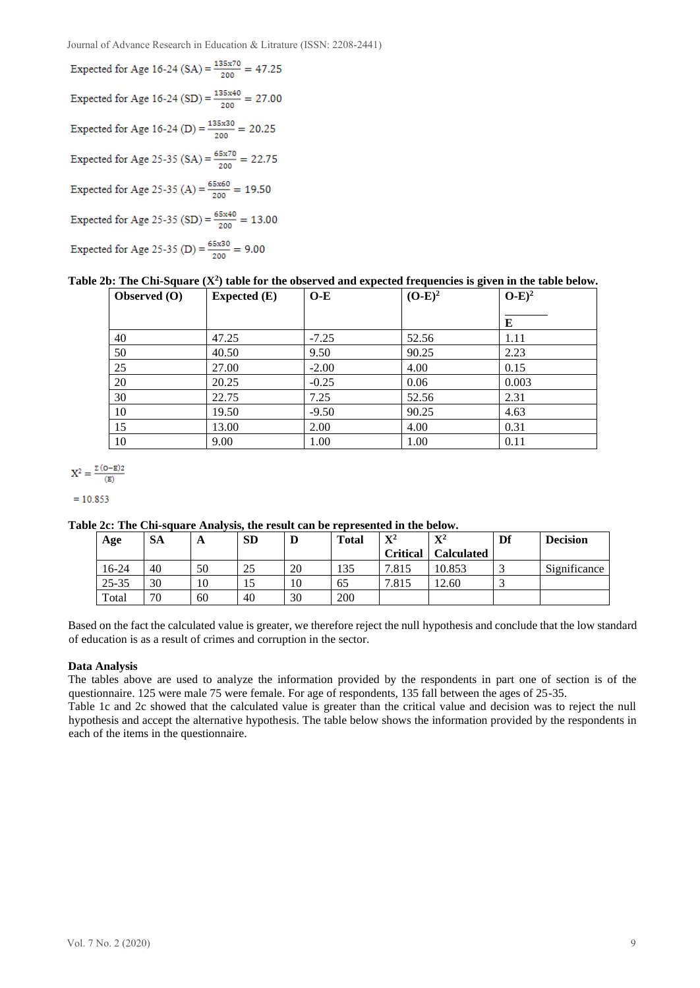Journal of Advance Research in Education & Litrature (ISSN: 2208-2441)

Expected for Age 16-24 (SA) =  $\frac{135 \times 70}{200}$  = 47.25 Expected for Age 16-24 (SD) =  $\frac{135x40}{200}$  = 27.00 Expected for Age 16-24 (D) =  $\frac{135 \times 30}{200}$  = 20.25 Expected for Age 25-35 (SA) =  $\frac{65x70}{200}$  = 22.75 Expected for Age 25-35 (A) =  $\frac{65x60}{200}$  = 19.50 Expected for Age 25-35 (SD) =  $\frac{65x40}{200}$  = 13.00 Expected for Age 25-35 (D) =  $\frac{65x30}{200}$  = 9.00

## **Table 2b: The Chi-Square (X<sup>2</sup> ) table for the observed and expected frequencies is given in the table below.**

| Observed $(0)$ | Expected $(E)$ | $O-E$   | $(O-E)^2$ | $O-E)^2$ |
|----------------|----------------|---------|-----------|----------|
|                |                |         |           | Е        |
| 40             | 47.25          | $-7.25$ | 52.56     | 1.11     |
| 50             | 40.50          | 9.50    | 90.25     | 2.23     |
| 25             | 27.00          | $-2.00$ | 4.00      | 0.15     |
| 20             | 20.25          | $-0.25$ | 0.06      | 0.003    |
| 30             | 22.75          | 7.25    | 52.56     | 2.31     |
| 10             | 19.50          | $-9.50$ | 90.25     | 4.63     |
| 15             | 13.00          | 2.00    | 4.00      | 0.31     |
| 10             | 9.00           | 1.00    | 1.00      | 0.11     |

 $X^2 = \frac{\Sigma (O-E)2}{(E)}$ 

 $= 10.853$ 

#### **Table 2c: The Chi-square Analysis, the result can be represented in the below.**

| Age       | <b>SA</b> | A  | <b>SD</b> | ע  | <b>Total</b> | $\mathbf{V}^2$  | ${\bf X}^2$       | Df | <b>Decision</b> |
|-----------|-----------|----|-----------|----|--------------|-----------------|-------------------|----|-----------------|
|           |           |    |           |    |              | <b>Critical</b> | <b>Calculated</b> |    |                 |
| 16-24     | 40        | 50 | 25        | 20 | 135          | 7.815           | 10.853            |    | Significance    |
| $25 - 35$ | 30        | 10 | IJ        | 10 | 65           | 7.815           | 12.60             |    |                 |
| Total     | 70        | 60 | 40        | 30 | 200          |                 |                   |    |                 |

Based on the fact the calculated value is greater, we therefore reject the null hypothesis and conclude that the low standard of education is as a result of crimes and corruption in the sector.

#### **Data Analysis**

The tables above are used to analyze the information provided by the respondents in part one of section is of the questionnaire. 125 were male 75 were female. For age of respondents, 135 fall between the ages of 25-35.

Table 1c and 2c showed that the calculated value is greater than the critical value and decision was to reject the null hypothesis and accept the alternative hypothesis. The table below shows the information provided by the respondents in each of the items in the questionnaire.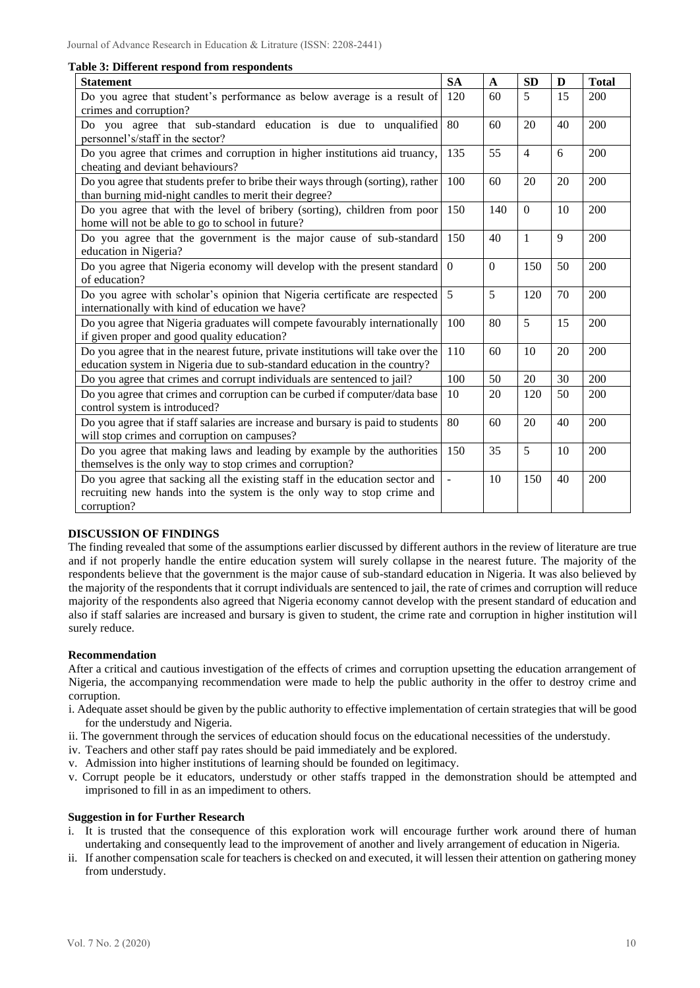|  |  |  |  |  | Table 3: Different respond from respondents |
|--|--|--|--|--|---------------------------------------------|
|--|--|--|--|--|---------------------------------------------|

| <b>Statement</b>                                                                                                                                                      | <b>SA</b>      | $\mathbf{A}$ | <b>SD</b>      | D  | <b>Total</b> |
|-----------------------------------------------------------------------------------------------------------------------------------------------------------------------|----------------|--------------|----------------|----|--------------|
| Do you agree that student's performance as below average is a result of<br>crimes and corruption?                                                                     | 120            | 60           | 5              | 15 | 200          |
| Do you agree that sub-standard education is due to unqualified<br>personnel's/staff in the sector?                                                                    | 80             | 60           | 20             | 40 | 200          |
| Do you agree that crimes and corruption in higher institutions aid truancy,<br>cheating and deviant behaviours?                                                       | 135            | 55           | $\overline{4}$ | 6  | 200          |
| Do you agree that students prefer to bribe their ways through (sorting), rather<br>than burning mid-night candles to merit their degree?                              | 100            | 60           | 20             | 20 | 200          |
| Do you agree that with the level of bribery (sorting), children from poor<br>home will not be able to go to school in future?                                         | 150            | 140          | $\theta$       | 10 | 200          |
| Do you agree that the government is the major cause of sub-standard<br>education in Nigeria?                                                                          | 150            | 40           | $\mathbf{1}$   | 9  | 200          |
| Do you agree that Nigeria economy will develop with the present standard<br>of education?                                                                             | $\overline{0}$ | $\mathbf{0}$ | 150            | 50 | 200          |
| Do you agree with scholar's opinion that Nigeria certificate are respected<br>internationally with kind of education we have?                                         | 5              | 5            | 120            | 70 | 200          |
| Do you agree that Nigeria graduates will compete favourably internationally<br>if given proper and good quality education?                                            | 100            | 80           | 5              | 15 | 200          |
| Do you agree that in the nearest future, private institutions will take over the<br>education system in Nigeria due to sub-standard education in the country?         | 110            | 60           | 10             | 20 | 200          |
| Do you agree that crimes and corrupt individuals are sentenced to jail?                                                                                               | 100            | 50           | 20             | 30 | 200          |
| Do you agree that crimes and corruption can be curbed if computer/data base<br>control system is introduced?                                                          | 10             | 20           | 120            | 50 | 200          |
| Do you agree that if staff salaries are increase and bursary is paid to students<br>will stop crimes and corruption on campuses?                                      | 80             | 60           | 20             | 40 | 200          |
| Do you agree that making laws and leading by example by the authorities<br>themselves is the only way to stop crimes and corruption?                                  | 150            | 35           | 5              | 10 | 200          |
| Do you agree that sacking all the existing staff in the education sector and<br>recruiting new hands into the system is the only way to stop crime and<br>corruption? | $\overline{a}$ | 10           | 150            | 40 | 200          |

## **DISCUSSION OF FINDINGS**

The finding revealed that some of the assumptions earlier discussed by different authors in the review of literature are true and if not properly handle the entire education system will surely collapse in the nearest future. The majority of the respondents believe that the government is the major cause of sub-standard education in Nigeria. It was also believed by the majority of the respondents that it corrupt individuals are sentenced to jail, the rate of crimes and corruption will reduce majority of the respondents also agreed that Nigeria economy cannot develop with the present standard of education and also if staff salaries are increased and bursary is given to student, the crime rate and corruption in higher institution will surely reduce.

#### **Recommendation**

After a critical and cautious investigation of the effects of crimes and corruption upsetting the education arrangement of Nigeria, the accompanying recommendation were made to help the public authority in the offer to destroy crime and corruption.

- i. Adequate asset should be given by the public authority to effective implementation of certain strategies that will be good for the understudy and Nigeria.
- ii. The government through the services of education should focus on the educational necessities of the understudy.
- iv. Teachers and other staff pay rates should be paid immediately and be explored.
- v. Admission into higher institutions of learning should be founded on legitimacy.
- v. Corrupt people be it educators, understudy or other staffs trapped in the demonstration should be attempted and imprisoned to fill in as an impediment to others.

#### **Suggestion in for Further Research**

- i. It is trusted that the consequence of this exploration work will encourage further work around there of human undertaking and consequently lead to the improvement of another and lively arrangement of education in Nigeria.
- ii. If another compensation scale for teachers is checked on and executed, it will lessen their attention on gathering money from understudy.